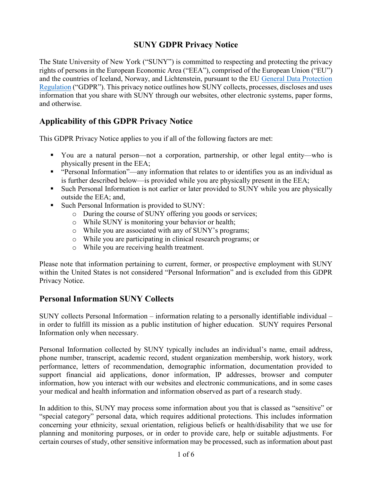### **SUNY GDPR Privacy Notice**

The State University of New York ("SUNY") is committed to respecting and protecting the privacy rights of persons in the European Economic Area ("EEA"), comprised of the European Union ("EU") and the countries of Iceland, Norway, and Lichtenstein, pursuant to the EU [General Data Protection](http://eur-lex.europa.eu/legal-content/EN/TXT/?uri=uriserv:OJ.L_.2016.119.01.0001.01.ENG)  [Regulation](http://eur-lex.europa.eu/legal-content/EN/TXT/?uri=uriserv:OJ.L_.2016.119.01.0001.01.ENG) ("GDPR"). This privacy notice outlines how SUNY collects, processes, discloses and uses information that you share with SUNY through our websites, other electronic systems, paper forms, and otherwise.

### **Applicability of this GDPR Privacy Notice**

This GDPR Privacy Notice applies to you if all of the following factors are met:

- You are a natural person—not a corporation, partnership, or other legal entity—who is physically present in the EEA;
- "Personal Information"—any information that relates to or identifies you as an individual as is further described below—is provided while you are physically present in the EEA;
- Such Personal Information is not earlier or later provided to SUNY while you are physically outside the EEA; and,
- Such Personal Information is provided to SUNY:
	- o During the course of SUNY offering you goods or services;
	- o While SUNY is monitoring your behavior or health;
	- o While you are associated with any of SUNY's programs;
	- o While you are participating in clinical research programs; or
	- o While you are receiving health treatment.

Please note that information pertaining to current, former, or prospective employment with SUNY within the United States is not considered "Personal Information" and is excluded from this GDPR Privacy Notice.

### **Personal Information SUNY Collects**

SUNY collects Personal Information – information relating to a personally identifiable individual – in order to fulfill its mission as a public institution of higher education. SUNY requires Personal Information only when necessary.

Personal Information collected by SUNY typically includes an individual's name, email address, phone number, transcript, academic record, student organization membership, work history, work performance, letters of recommendation, demographic information, documentation provided to support financial aid applications, donor information, IP addresses, browser and computer information, how you interact with our websites and electronic communications, and in some cases your medical and health information and information observed as part of a research study.

In addition to this, SUNY may process some information about you that is classed as "sensitive" or "special category" personal data, which requires additional protections. This includes information concerning your ethnicity, sexual orientation, religious beliefs or health/disability that we use for planning and monitoring purposes, or in order to provide care, help or suitable adjustments. For certain courses of study, other sensitive information may be processed, such as information about past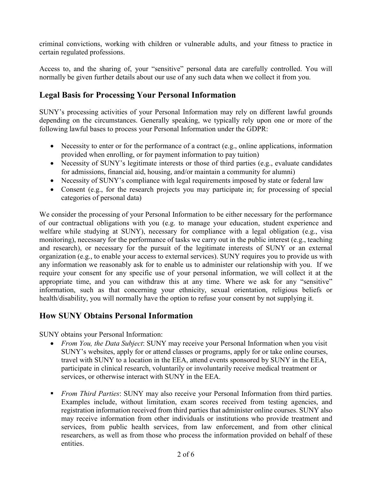criminal convictions, working with children or vulnerable adults, and your fitness to practice in certain regulated professions.

Access to, and the sharing of, your "sensitive" personal data are carefully controlled. You will normally be given further details about our use of any such data when we collect it from you.

### **Legal Basis for Processing Your Personal Information**

SUNY's processing activities of your Personal Information may rely on different lawful grounds depending on the circumstances. Generally speaking, we typically rely upon one or more of the following lawful bases to process your Personal Information under the GDPR:

- Necessity to enter or for the performance of a contract (e.g., online applications, information provided when enrolling, or for payment information to pay tuition)
- Necessity of SUNY's legitimate interests or those of third parties (e.g., evaluate candidates for admissions, financial aid, housing, and/or maintain a community for alumni)
- Necessity of SUNY's compliance with legal requirements imposed by state or federal law
- Consent (e.g., for the research projects you may participate in; for processing of special categories of personal data)

We consider the processing of your Personal Information to be either necessary for the performance of our contractual obligations with you (e.g. to manage your education, student experience and welfare while studying at SUNY), necessary for compliance with a legal obligation (e.g., visa monitoring), necessary for the performance of tasks we carry out in the public interest (e.g., teaching and research), or necessary for the pursuit of the legitimate interests of SUNY or an external organization (e.g., to enable your access to external services). SUNY requires you to provide us with any information we reasonably ask for to enable us to administer our relationship with you. If we require your consent for any specific use of your personal information, we will collect it at the appropriate time, and you can withdraw this at any time. Where we ask for any "sensitive" information, such as that concerning your ethnicity, sexual orientation, religious beliefs or health/disability, you will normally have the option to refuse your consent by not supplying it.

### **How SUNY Obtains Personal Information**

SUNY obtains your Personal Information:

- *From You, the Data Subject*: SUNY may receive your Personal Information when you visit SUNY's websites, apply for or attend classes or programs, apply for or take online courses, travel with SUNY to a location in the EEA, attend events sponsored by SUNY in the EEA, participate in clinical research, voluntarily or involuntarily receive medical treatment or services, or otherwise interact with SUNY in the EEA.
- *From Third Parties*: SUNY may also receive your Personal Information from third parties. Examples include, without limitation, exam scores received from testing agencies, and registration information received from third parties that administer online courses. SUNY also may receive information from other individuals or institutions who provide treatment and services, from public health services, from law enforcement, and from other clinical researchers, as well as from those who process the information provided on behalf of these entities.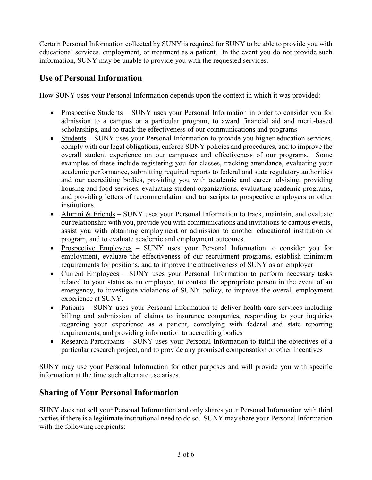Certain Personal Information collected by SUNY is required for SUNY to be able to provide you with educational services, employment, or treatment as a patient. In the event you do not provide such information, SUNY may be unable to provide you with the requested services.

### **Use of Personal Information**

How SUNY uses your Personal Information depends upon the context in which it was provided:

- Prospective Students SUNY uses your Personal Information in order to consider you for admission to a campus or a particular program, to award financial aid and merit-based scholarships, and to track the effectiveness of our communications and programs
- Students SUNY uses your Personal Information to provide you higher education services, comply with our legal obligations, enforce SUNY policies and procedures, and to improve the overall student experience on our campuses and effectiveness of our programs. Some examples of these include registering you for classes, tracking attendance, evaluating your academic performance, submitting required reports to federal and state regulatory authorities and our accrediting bodies, providing you with academic and career advising, providing housing and food services, evaluating student organizations, evaluating academic programs, and providing letters of recommendation and transcripts to prospective employers or other institutions.
- Alumni & Friends SUNY uses your Personal Information to track, maintain, and evaluate our relationship with you, provide you with communications and invitations to campus events, assist you with obtaining employment or admission to another educational institution or program, and to evaluate academic and employment outcomes.
- Prospective Employees SUNY uses your Personal Information to consider you for employment, evaluate the effectiveness of our recruitment programs, establish minimum requirements for positions, and to improve the attractiveness of SUNY as an employer
- Current Employees SUNY uses your Personal Information to perform necessary tasks related to your status as an employee, to contact the appropriate person in the event of an emergency, to investigate violations of SUNY policy, to improve the overall employment experience at SUNY.
- Patients SUNY uses your Personal Information to deliver health care services including billing and submission of claims to insurance companies, responding to your inquiries regarding your experience as a patient, complying with federal and state reporting requirements, and providing information to accrediting bodies
- Research Participants SUNY uses your Personal Information to fulfill the objectives of a particular research project, and to provide any promised compensation or other incentives

SUNY may use your Personal Information for other purposes and will provide you with specific information at the time such alternate use arises.

# **Sharing of Your Personal Information**

SUNY does not sell your Personal Information and only shares your Personal Information with third parties if there is a legitimate institutional need to do so. SUNY may share your Personal Information with the following recipients: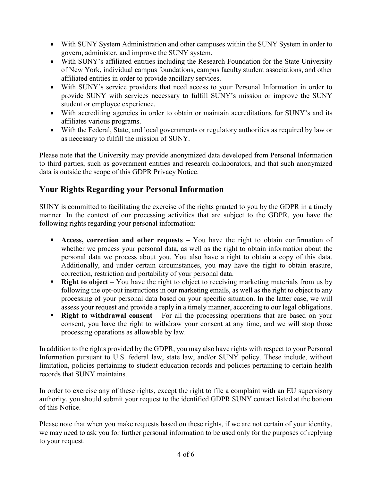- With SUNY System Administration and other campuses within the SUNY System in order to govern, administer, and improve the SUNY system.
- With SUNY's affiliated entities including the Research Foundation for the State University of New York, individual campus foundations, campus faculty student associations, and other affiliated entities in order to provide ancillary services.
- With SUNY's service providers that need access to your Personal Information in order to provide SUNY with services necessary to fulfill SUNY's mission or improve the SUNY student or employee experience.
- With accrediting agencies in order to obtain or maintain accreditations for SUNY's and its affiliates various programs.
- With the Federal, State, and local governments or regulatory authorities as required by law or as necessary to fulfill the mission of SUNY.

Please note that the University may provide anonymized data developed from Personal Information to third parties, such as government entities and research collaborators, and that such anonymized data is outside the scope of this GDPR Privacy Notice.

## **Your Rights Regarding your Personal Information**

SUNY is committed to facilitating the exercise of the rights granted to you by the GDPR in a timely manner. In the context of our processing activities that are subject to the GDPR, you have the following rights regarding your personal information:

- **Access, correction and other requests** You have the right to obtain confirmation of whether we process your personal data, as well as the right to obtain information about the personal data we process about you. You also have a right to obtain a copy of this data. Additionally, and under certain circumstances, you may have the right to obtain erasure, correction, restriction and portability of your personal data.
- **Right to object** You have the right to object to receiving marketing materials from us by following the opt-out instructions in our marketing emails, as well as the right to object to any processing of your personal data based on your specific situation. In the latter case, we will assess your request and provide a reply in a timely manner, according to our legal obligations.
- **Right to withdrawal consent** For all the processing operations that are based on your consent, you have the right to withdraw your consent at any time, and we will stop those processing operations as allowable by law.

In addition to the rights provided by the GDPR, you may also have rights with respect to your Personal Information pursuant to U.S. federal law, state law, and/or SUNY policy. These include, without limitation, policies pertaining to student education records and policies pertaining to certain health records that SUNY maintains.

In order to exercise any of these rights, except the right to file a complaint with an EU supervisory authority, you should submit your request to the identified GDPR SUNY contact listed at the bottom of this Notice.

Please note that when you make requests based on these rights, if we are not certain of your identity, we may need to ask you for further personal information to be used only for the purposes of replying to your request.